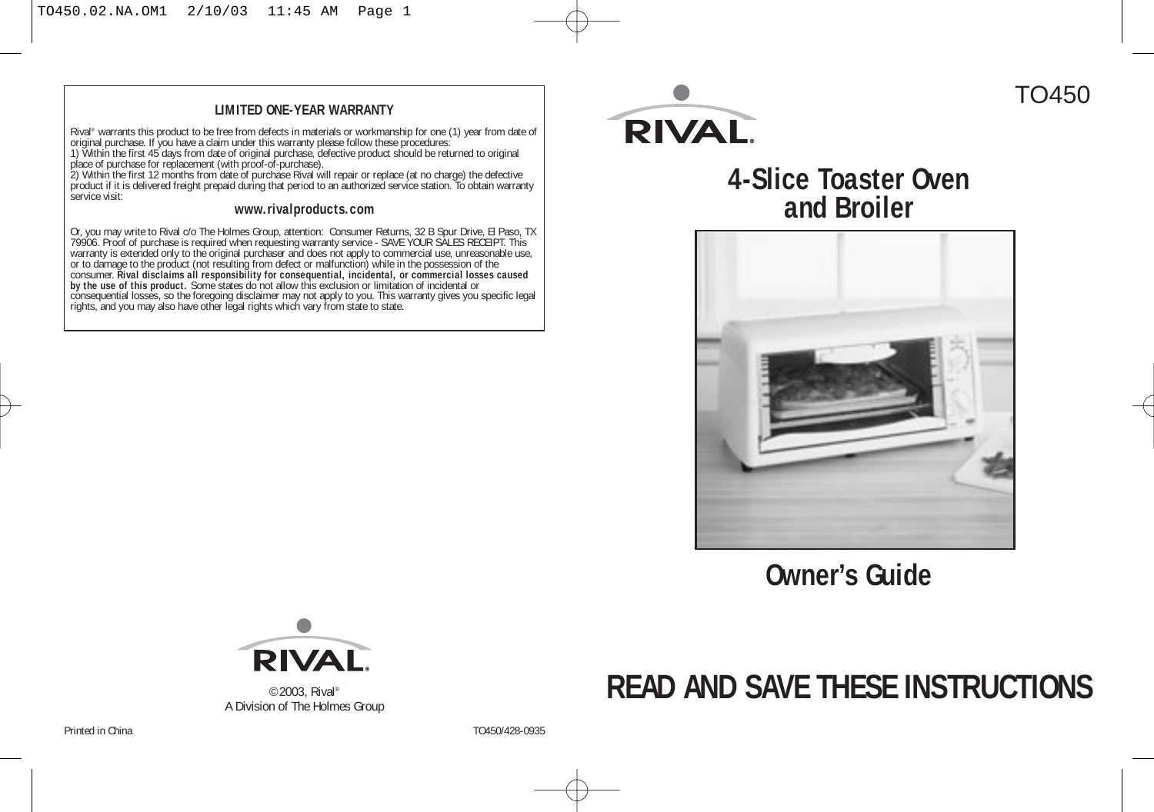#### **LIMITED ONE-YEAR WARRANTY**

Rival" warrants this product to be free from defects in materials or workmanship for one (1) year from date of<br>original purchase. If you have a claim under this warranty please follow these procedures:<br>1) Within the first

service visit:

#### **www.rivalproducts.com**

Or, you may write to Rival c/o The Holmes Group, attention: Consumer Returns, 32 B Spur Drive, EI Paso, TX<br>79906. Proof of purchase is required when requesting warranty service - SAVE YOUR SALES RECEIPT. This<br>varranty is e



## TO450

## **4-Slice Toaster Oven and Broiler**



**Owner's Guide**



©2003, Rival® A Division of The Holmes Group

## **READ AND SAVE THESE INSTRUCTIONS**

Printed in China TO450/428-0935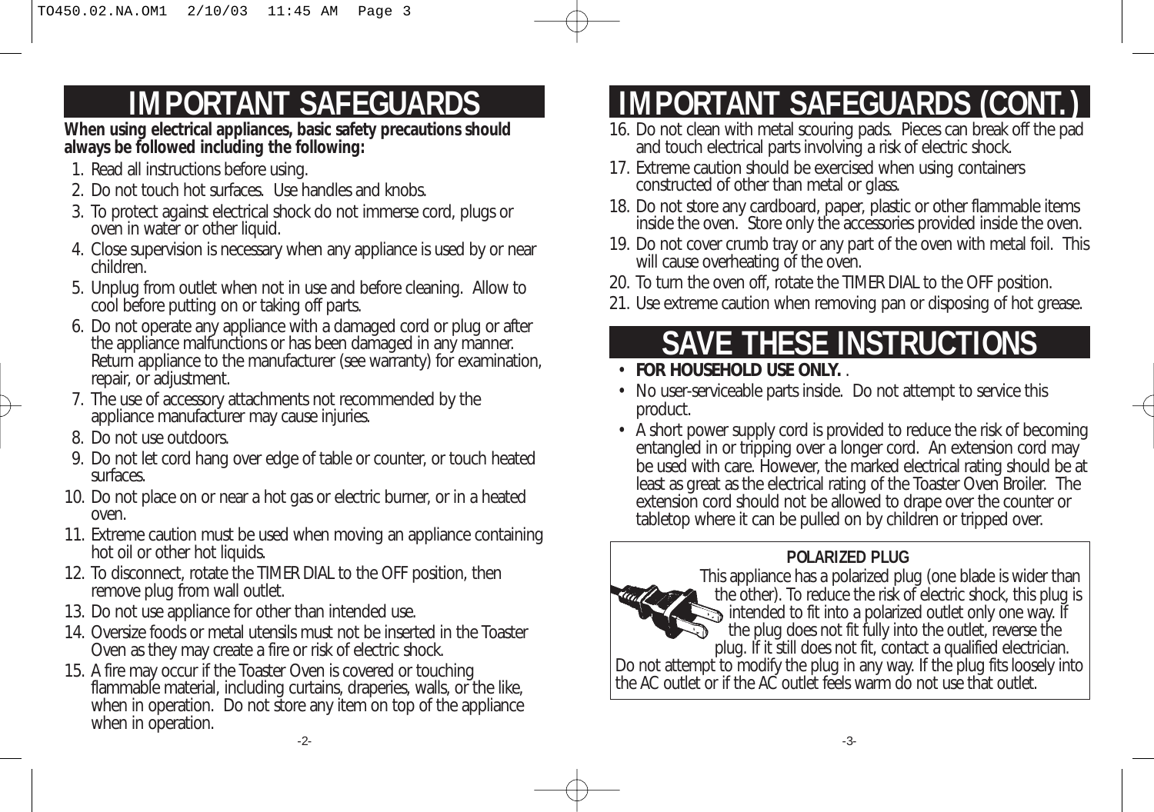## **IMPORTANT SAFEGUARDS**

**When using electrical appliances, basic safety precautions should always be followed including the following:**

- 1. Read all instructions before using.
- 2. Do not touch hot surfaces. Use handles and knobs.
- 3. To protect against electrical shock do not immerse cord, plugs or oven in water or other liquid.
- 4. Close supervision is necessary when any appliance is used by or near children.
- 5. Unplug from outlet when not in use and before cleaning. Allow to cool before putting on or taking off parts.
- 6. Do not operate any appliance with a damaged cord or plug or after the appliance malfunctions or has been damaged in any manner. Return appliance to the manufacturer (see warranty) for examination, repair, or adjustment.
- 7. The use of accessory attachments not recommended by the appliance manufacturer may cause injuries.
- 8. Do not use outdoors.
- 9. Do not let cord hang over edge of table or counter, or touch heated surfaces.
- 10. Do not place on or near a hot gas or electric burner, or in a heated oven.
- 11. Extreme caution must be used when moving an appliance containing hot oil or other hot liquids.
- 12. To disconnect, rotate the TIMER DIAL to the OFF position, then remove plug from wall outlet.
- 13. Do not use appliance for other than intended use.
- 14. Oversize foods or metal utensils must not be inserted in the Toaster Oven as they may create a fire or risk of electric shock.
- 15. A fire may occur if the Toaster Oven is covered or touching flammable material, including curtains, draperies, walls, or the like, when in operation. Do not store any item on top of the appliance when in operation.

## **IMPORTANT SAFEGUARDS (CONT.)**

- 16. Do not clean with metal scouring pads. Pieces can break off the pad and touch electrical parts involving a risk of electric shock.
- 17. Extreme caution should be exercised when using containers constructed of other than metal or glass.
- 18. Do not store any cardboard, paper, plastic or other flammable items inside the oven. Store only the accessories provided inside the oven.
- 19. Do not cover crumb tray or any part of the oven with metal foil. This will cause overheating of the oven.
- 20. To turn the oven off, rotate the TIMER DIAL to the OFF position.
- 21. Use extreme caution when removing pan or disposing of hot grease.

## **SAVE THESE INSTRUCTIONS**

- **FOR HOUSEHOLD USE ONLY.** .
- No user-serviceable parts inside. Do not attempt to service this product.
- A short power supply cord is provided to reduce the risk of becoming entangled in or tripping over a longer cord. An extension cord may be used with care. However, the marked electrical rating should be at least as great as the electrical rating of the Toaster Oven Broiler. The extension cord should not be allowed to drape over the counter or tabletop where it can be pulled on by children or tripped over.

## **POLARIZED PLUG**

This appliance has a polarized plug (one blade is wider than the other). To reduce the risk of electric shock, this plug is intended to fit into a polarized outlet only one way. If the plug does not fit fully into the outlet, reverse the plug. If it still does not fit, contact a qualified electrician. Do not attempt to modify the plug in any way. If the plug fits loosely into the AC outlet or if the AC outlet feels warm do not use that outlet.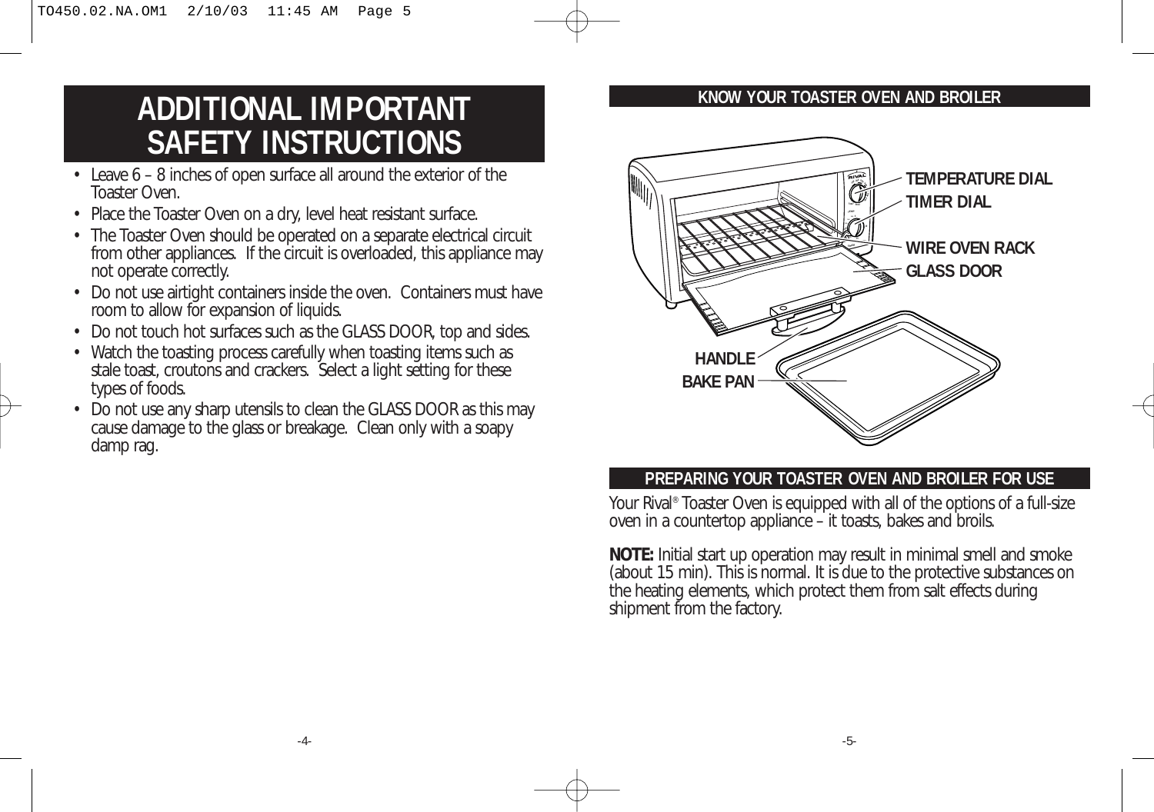## **ADDITIONAL IMPORTANT SAFETY INSTRUCTIONS**

- Leave 6 8 inches of open surface all around the exterior of the Toaster Oven.
- Place the Toaster Oven on a dry, level heat resistant surface.
- The Toaster Oven should be operated on a separate electrical circuit from other appliances. If the circuit is overloaded, this appliance may not operate correctly.
- Do not use airtight containers inside the oven. Containers must have room to allow for expansion of liquids.
- Do not touch hot surfaces such as the GLASS DOOR, top and sides.
- Watch the toasting process carefully when toasting items such as stale toast, croutons and crackers. Select a light setting for these types of foods.
- Do not use any sharp utensils to clean the GLASS DOOR as this may cause damage to the glass or breakage. Clean only with a soapy damp rag.

### **KNOW YOUR TOASTER OVEN AND BROILER**



### **PREPARING YOUR TOASTER OVEN AND BROILER FOR USE**

Your Rival® Toaster Oven is equipped with all of the options of a full-size oven in a countertop appliance – it toasts, bakes and broils.

**NOTE:** Initial start up operation may result in minimal smell and smoke (about 15 min). This is normal. It is due to the protective substances on the heating elements, which protect them from salt effects during shipment from the factory.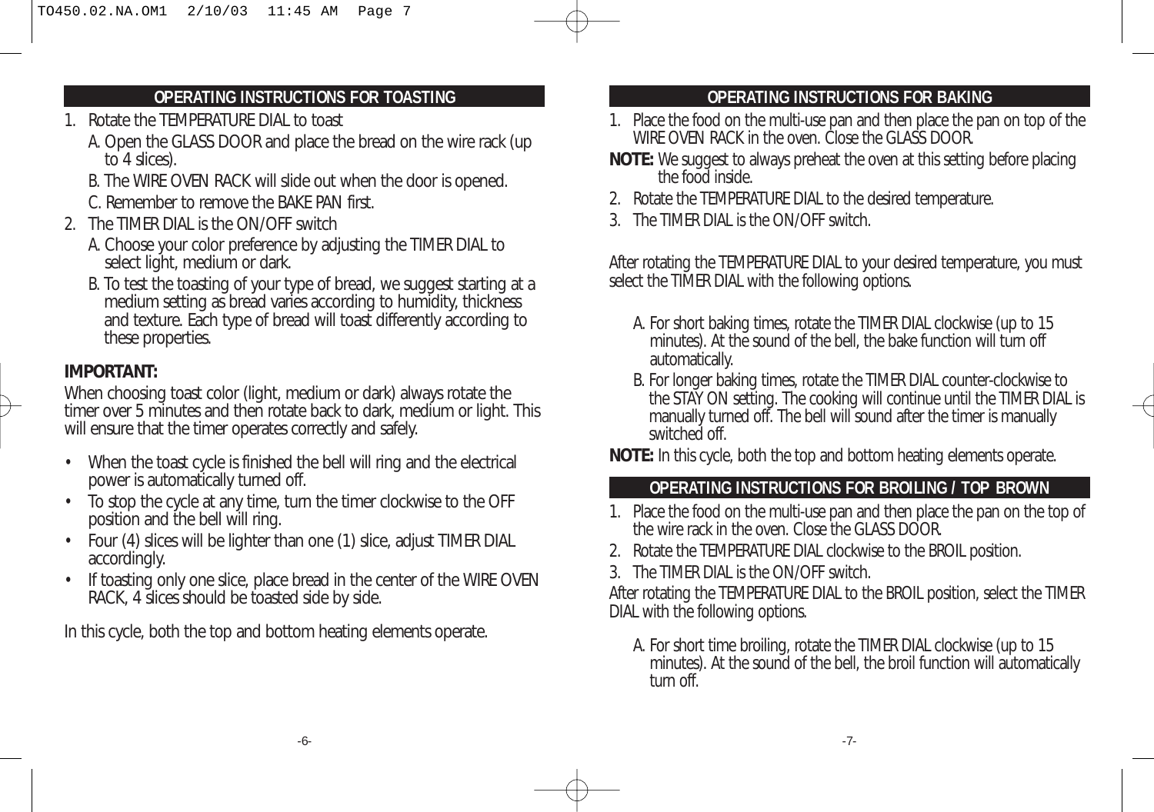## **OPERATING INSTRUCTIONS FOR TOASTING**

- 1. Rotate the TEMPERATURE DIAL to toast
	- A. Open the GLASS DOOR and place the bread on the wire rack (up to 4 slices).
	- B. The WIRE OVEN RACK will slide out when the door is opened.
	- C. Remember to remove the BAKE PAN first.
- 2. The TIMER DIAL is the ON/OFF switch
	- A. Choose your color preference by adjusting the TIMER DIAL to select light, medium or dark.
	- B. To test the toasting of your type of bread, we suggest starting at a medium setting as bread varies according to humidity, thickness and texture. Each type of bread will toast differently according to these properties.

## **IMPORTANT:**

When choosing toast color (light, medium or dark) always rotate the timer over 5 minutes and then rotate back to dark, medium or light. This will ensure that the timer operates correctly and safely.

- When the toast cycle is finished the bell will ring and the electrical power is automatically turned off.
- To stop the cycle at any time, turn the timer clockwise to the OFF position and the bell will ring.
- Four (4) slices will be lighter than one (1) slice, adjust TIMER DIAL accordingly.
- If toasting only one slice, place bread in the center of the WIRE OVEN RACK, 4 slices should be toasted side by side.

In this cycle, both the top and bottom heating elements operate.

## **OPERATING INSTRUCTIONS FOR BAKING**

- 1. Place the food on the multi-use pan and then place the pan on top of the WIRE OVEN RACK in the oven. Close the GLASS DOOR.
- **NOTE:** We suggest to always preheat the oven at this setting before placing the food inside.
- 2. Rotate the TEMPERATURE DIAL to the desired temperature.
- 3. The TIMER DIAL is the ON/OFF switch.

After rotating the TEMPERATURE DIAL to your desired temperature, you must select the TIMER DIAL with the following options.

- A. For short baking times, rotate the TIMER DIAL clockwise (up to 15 minutes). At the sound of the bell, the bake function will turn off automatically.
- B. For longer baking times, rotate the TIMER DIAL counter-clockwise to the STAY ON setting. The cooking will continue until the TIMER DIAL is manually turned off. The bell will sound after the timer is manually switched off.

**NOTE:** In this cycle, both the top and bottom heating elements operate.

## **OPERATING INSTRUCTIONS FOR BROILING / TOP BROWN**

- 1. Place the food on the multi-use pan and then place the pan on the top of the wire rack in the oven. Close the GLASS DOOR.
- 2. Rotate the TEMPERATURE DIAL clockwise to the BROIL position.
- 3. The TIMER DIAL is the ON/OFF switch.

After rotating the TEMPERATURE DIAL to the BROIL position, select the TIMER DIAL with the following options.

A. For short time broiling, rotate the TIMER DIAL clockwise (up to 15 minutes). At the sound of the bell, the broil function will automatically turn off.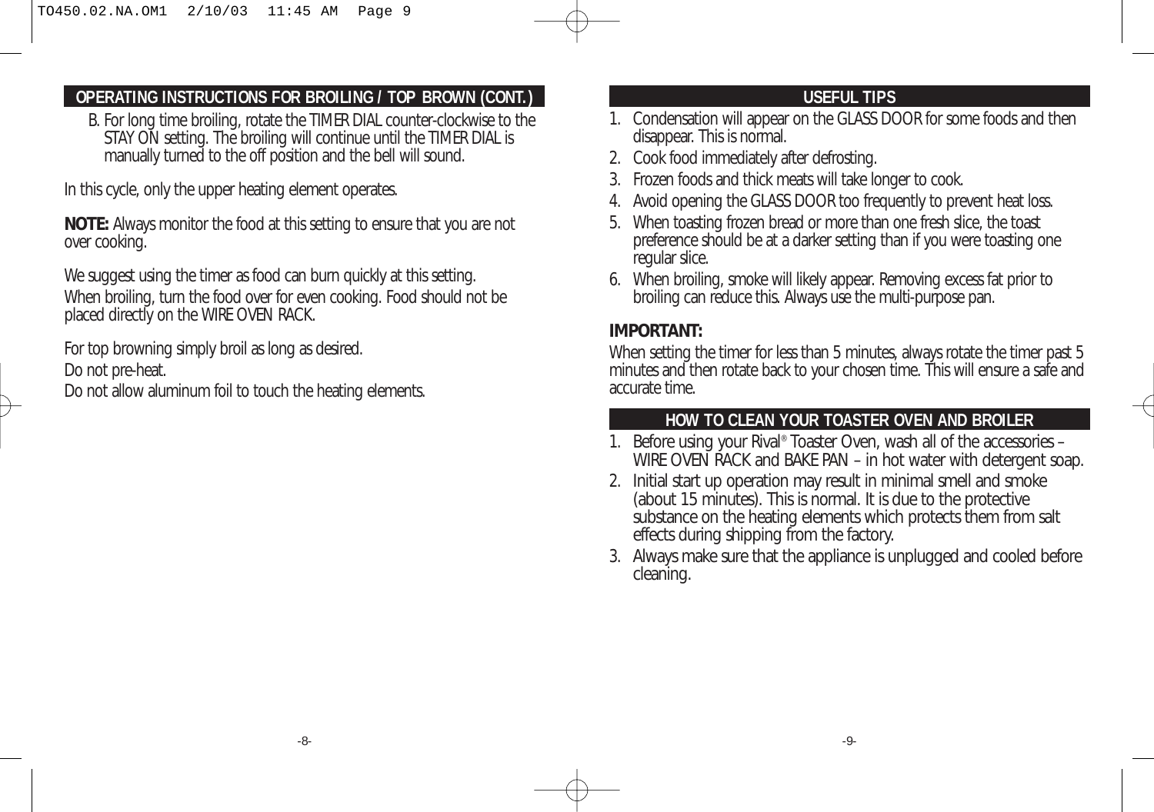## **OPERATING INSTRUCTIONS FOR BROILING / TOP BROWN (CONT.)**

B. For long time broiling, rotate the TIMER DIAL counter-clockwise to the STAY ON setting. The broiling will continue until the TIMER DIAL is manually turned to the off position and the bell will sound.

In this cycle, only the upper heating element operates.

**NOTE:** Always monitor the food at this setting to ensure that you are not over cooking.

We suggest using the timer as food can burn quickly at this setting. When broiling, turn the food over for even cooking. Food should not be placed directly on the WIRE OVEN RACK.

For top browning simply broil as long as desired. Do not pre-heat.

Do not allow aluminum foil to touch the heating elements.

### **USEFUL TIPS**

- 1. Condensation will appear on the GLASS DOOR for some foods and then disappear. This is normal.
- 2. Cook food immediately after defrosting.
- 3. Frozen foods and thick meats will take longer to cook.
- 4. Avoid opening the GLASS DOOR too frequently to prevent heat loss.
- 5. When toasting frozen bread or more than one fresh slice, the toast preference should be at a darker setting than if you were toasting one regular slice.
- 6. When broiling, smoke will likely appear. Removing excess fat prior to broiling can reduce this. Always use the multi-purpose pan.

## **IMPORTANT:**

When setting the timer for less than 5 minutes, always rotate the timer past 5 minutes and then rotate back to your chosen time. This will ensure a safe and accurate time.

## **HOW TO CLEAN YOUR TOASTER OVEN AND BROILER**

- 1. Before using your Rival® Toaster Oven, wash all of the accessories WIRE OVEN RACK and BAKE PAN – in hot water with detergent soap.
- 2. Initial start up operation may result in minimal smell and smoke (about 15 minutes). This is normal. It is due to the protective substance on the heating elements which protects them from salt effects during shipping from the factory.
- 3. Always make sure that the appliance is unplugged and cooled before cleaning.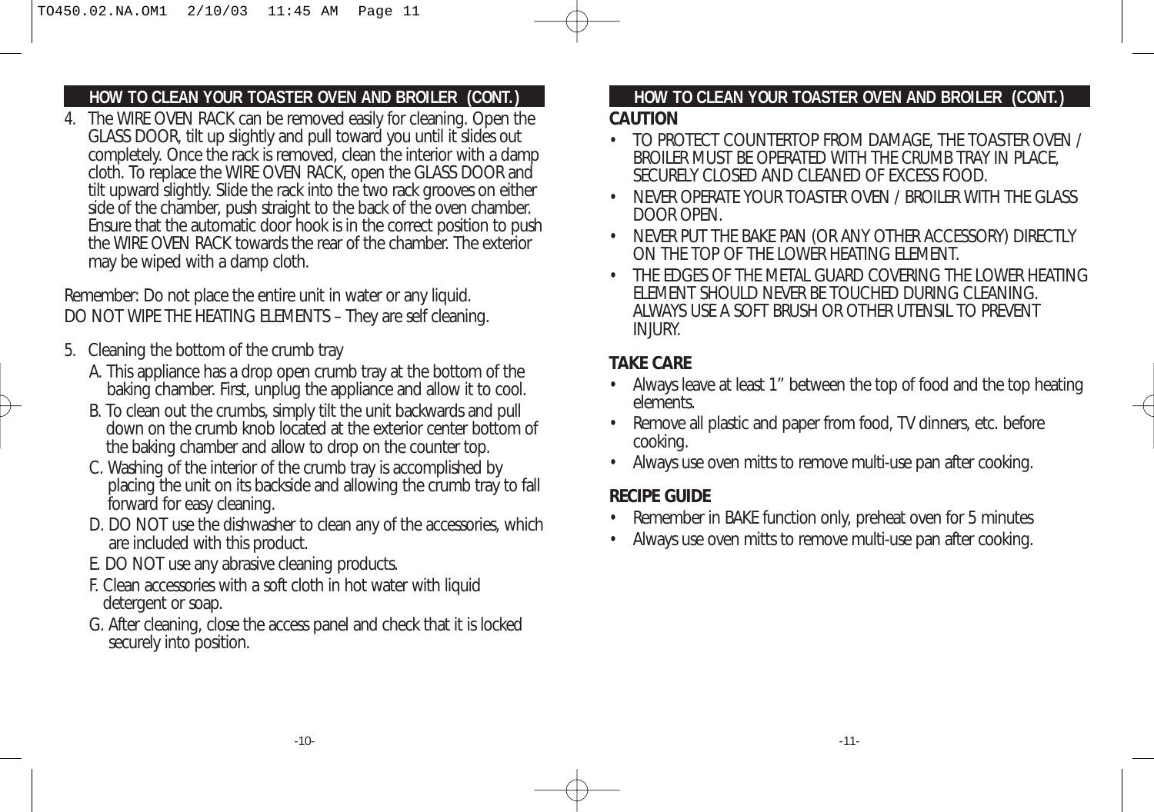## **HOW TO CLEAN YOUR TOASTER OVEN AND BROILER (CONT.)**

4. The WIRE OVEN RACK can be removed easily for cleaning. Open the GLASS DOOR, tilt up slightly and pull toward you until it slides out completely. Once the rack is removed, clean the interior with a damp cloth. To replace the WIRE OVEN RACK, open the GLASS DOOR and tilt upward slightly. Slide the rack into the two rack grooves on either side of the chamber, push straight to the back of the oven chamber. Ensure that the automatic door hook is in the correct position to push the WIRE OVEN RACK towards the rear of the chamber. The exterior may be wiped with a damp cloth.

Remember: Do not place the entire unit in water or any liquid. DO NOT WIPE THE HEATING ELEMENTS – They are self cleaning.

- 5. Cleaning the bottom of the crumb tray
	- A. This appliance has a drop open crumb tray at the bottom of the baking chamber. First, unplug the appliance and allow it to cool.
	- B. To clean out the crumbs, simply tilt the unit backwards and pull down on the crumb knob located at the exterior center bottom of the baking chamber and allow to drop on the counter top.
	- C. Washing of the interior of the crumb tray is accomplished by placing the unit on its backside and allowing the crumb tray to fall forward for easy cleaning.
	- D. DO NOT use the dishwasher to clean any of the accessories, which are included with this product.
	- E. DO NOT use any abrasive cleaning products.
	- F. Clean accessories with a soft cloth in hot water with liquid detergent or soap.
	- G. After cleaning, close the access panel and check that it is locked securely into position.

## **HOW TO CLEAN YOUR TOASTER OVEN AND BROILER (CONT.)**

#### **CAUTION**

- TO PROTECT COUNTERTOP FROM DAMAGE, THE TOASTER OVEN / BROILER MUST BE OPERATED WITH THE CRUMB TRAY IN PLACE, SECURELY CLOSED AND CLEANED OF EXCESS FOOD.
- NEVER OPERATE YOUR TOASTER OVEN / BROILER WITH THE GLASS DOOR OPEN.
- NEVER PUT THE BAKE PAN (OR ANY OTHER ACCESSORY) DIRECTLY ON THE TOP OF THE LOWER HEATING ELEMENT.
- THE EDGES OF THE METAL GUARD COVERING THE LOWER HEATING ELEMENT SHOULD NEVER BE TOUCHED DURING CLEANING. ALWAYS USE A SOFT BRUSH OR OTHER UTENSIL TO PREVENT INJURY.

## **TAKE CARE**

- Always leave at least 1" between the top of food and the top heating elements.
- Remove all plastic and paper from food, TV dinners, etc. before cooking.
- Always use oven mitts to remove multi-use pan after cooking.

### **RECIPE GUIDE**

- Remember in BAKE function only, preheat oven for 5 minutes
- Always use oven mitts to remove multi-use pan after cooking.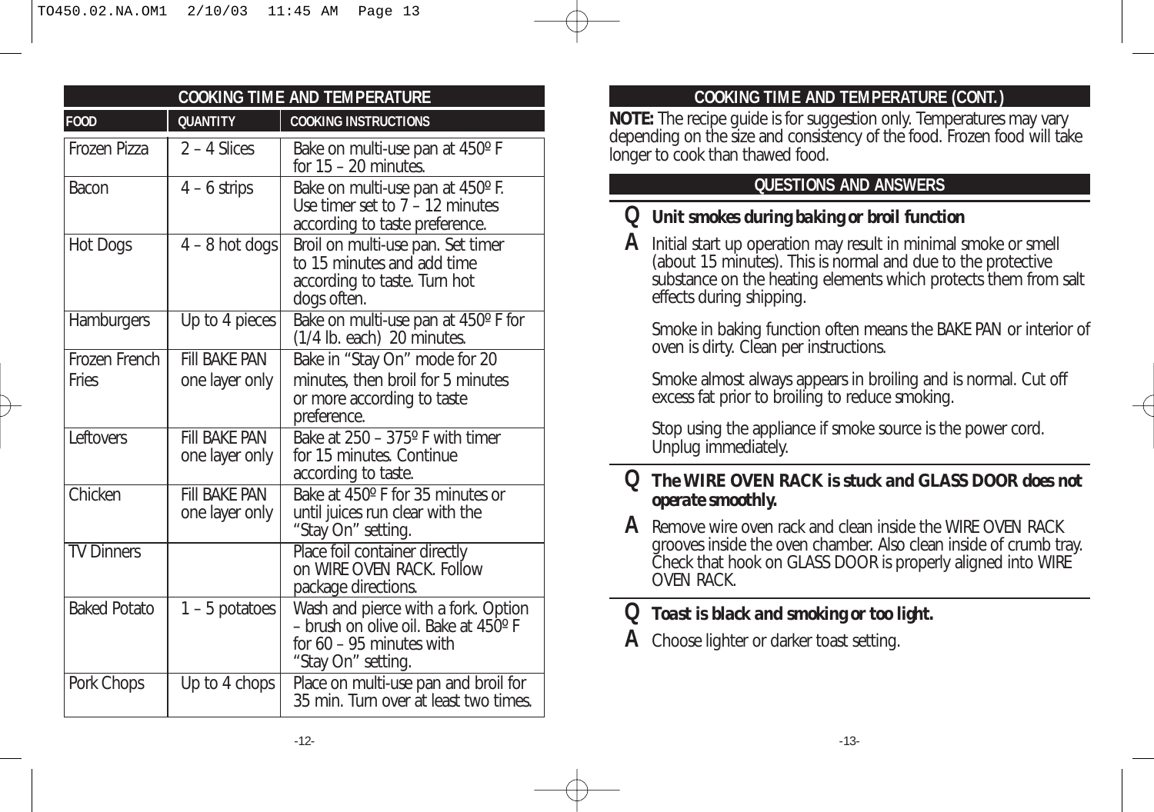| <b>COOKING TIME AND TEMPERATURE</b> |                                        |                                                                                                                                 |  |
|-------------------------------------|----------------------------------------|---------------------------------------------------------------------------------------------------------------------------------|--|
| <b>FOOD</b>                         | <b>QUANTITY</b>                        | <b>COOKING INSTRUCTIONS</b>                                                                                                     |  |
| Frozen Pizza                        | $2 - 4$ Slices                         | Bake on multi-use pan at 450° F<br>for $15 - 20$ minutes.                                                                       |  |
| Bacon                               | $4 - 6$ strips                         | Bake on multi-use pan at 450° F.<br>Use timer set to $7 - 12$ minutes<br>according to taste preference.                         |  |
| <b>Hot Dogs</b>                     | $4 - 8$ hot dogs                       | Broil on multi-use pan. Set timer<br>to 15 minutes and add time<br>according to taste. Turn hot<br>dogs often.                  |  |
| Hamburgers                          | Up to 4 pieces                         | Bake on multi-use pan at 450° F for<br>(1/4 lb. each) 20 minutes.                                                               |  |
| Frozen French                       | <b>FIII BAKF PAN</b>                   | Bake in "Stay On" mode for 20                                                                                                   |  |
| Fries                               | one layer only                         | minutes, then broil for 5 minutes<br>or more according to taste<br>preference.                                                  |  |
| Leftovers                           | <b>FIII BAKE PAN</b><br>one layer only | Bake at 250 - 375° F with timer<br>for 15 minutes. Continue<br>according to taste.                                              |  |
| Chicken                             | <b>FIII BAKF PAN</b><br>one layer only | Bake at 450° F for 35 minutes or<br>until juices run clear with the<br>"Stay On" setting.                                       |  |
| <b>TV Dinners</b>                   |                                        | Place foil container directly<br>on WIRE OVEN RACK. Follow<br>package directions.                                               |  |
| <b>Baked Potato</b>                 | $1 - 5$ potatoes                       | Wash and pierce with a fork. Option<br>- brush on olive oil. Bake at 450° F<br>for $60 - 95$ minutes with<br>"Stay On" setting. |  |
| Pork Chops                          | Up to 4 chops                          | Place on multi-use pan and broil for<br>35 min. Turn over at least two times.                                                   |  |

## **COOKING TIME AND TEMPERATURE (CONT.)**

**NOTE:** The recipe guide is for suggestion only. Temperatures may vary depending on the size and consistency of the food. Frozen food will take longer to cook than thawed food.

## **QUESTIONS AND ANSWERS**

## **Q** *Unit smokes during baking or broil function*

**A** Initial start up operation may result in minimal smoke or smell (about 15 minutes). This is normal and due to the protective substance on the heating elements which protects them from salt effects during shipping.

Smoke in baking function often means the BAKE PAN or interior of oven is dirty. Clean per instructions.

Smoke almost always appears in broiling and is normal. Cut off excess fat prior to broiling to reduce smoking.

Stop using the appliance if smoke source is the power cord. Unplug immediately.

## **Q** *The WIRE OVEN RACK is stuck and GLASS DOOR does not operate smoothly.*

**A** Remove wire oven rack and clean inside the WIRE OVEN RACK grooves inside the oven chamber. Also clean inside of crumb tray. Check that hook on GLASS DOOR is properly aligned into WIRE OVEN RACK.

## **Q** *Toast is black and smoking or too light.*

**A** Choose lighter or darker toast setting.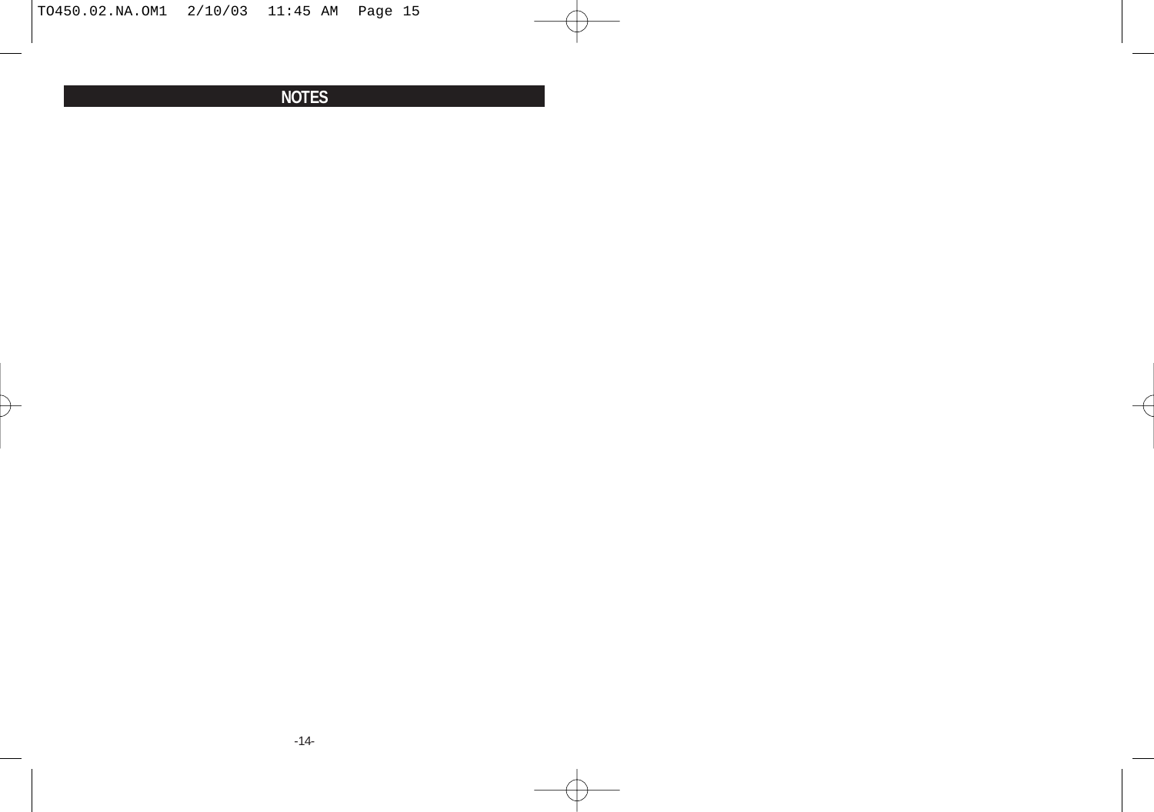$\rightarrow$ 

## **NOTES**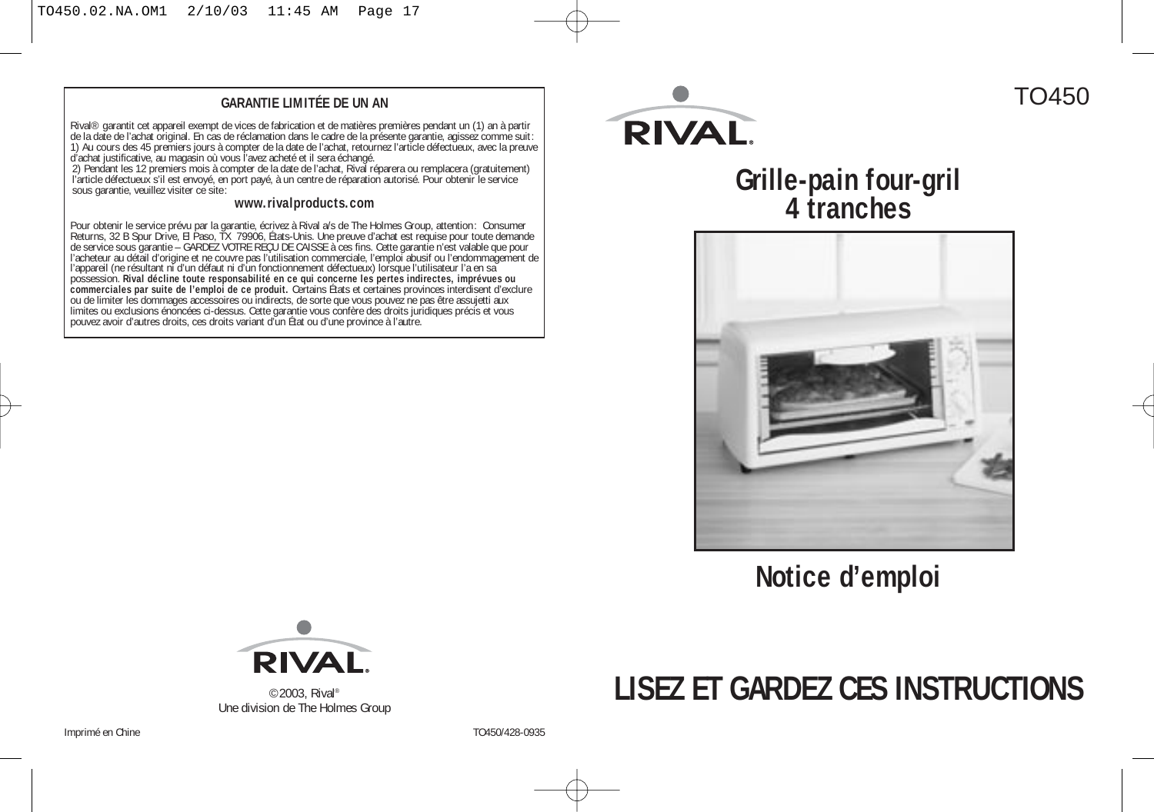#### **GARANTIE LIMITÉE DE UN AN**

Rival® garantit cet appareil exempt de vices de fabrication et de matières premières pendant un (1) an à partir de la date de l'achat original. En cas de réclamation dans le cadre de la présente garantie, agissez comme suit: 1) Au cours des 45 premiers jours à compter de la date de l'achat, retournez l'article défectueux, avec la preuve<br>d'achat justificative, au magasin où vous l'avez acheté et il sera échangé.<br>2) Pendant les 12 premiers mois

l'article défectueux s'il est envoyé, en port payé, à un centre de réparation autorisé. Pour obtenir le service sous garantie, veuillez visiter ce site:

#### **www.rivalproducts.com**

Pour obtenir le service prévu par la garantie, écrivez à Rival a/s de The Holmes Group, attention: Consumer Returns, 32 B Spur Drive, El Paso, TX 79906, États-Unis. Une preuve d'achat est requise pour toute demande de service sous garantie – GARDEZ VOTRE REÇU DE CAISSE à ces fins. Cette garantie n'est valable que pour l'acheteur au détail d'origine et ne couvre pas l'utilisation commerciale, l'emploi abusif ou l'endommagement de l'appareil (ne résultant ni d'un défaut ni d'un fonctionnement défectueux) lorsque l'utilisateur l'a en sa possession. **Rival décline toute responsabilité en ce qui concerne les pertes indirectes, imprévues ou commerciales par suite de l'emploi de ce produit.** Certains États et certaines provinces interdisent d'exclure ou de limiter les dommages accessoires ou indirects, de sorte que vous pouvez ne pas être assujetti aux limites ou exclusions énoncées ci-dessus. Cette garantie vous confère des droits juridiques précis et vous pouvez avoir d'autres droits, ces droits variant d'un État ou d'une province à l'autre.



# **Grille-pain four-gril 4 tranches**

TO450



## **Notice d'emploi**



©2003, Rival® Une division de The Holmes Group

## **LISEZ ET GARDEZ CES INSTRUCTIONS**

Imprimé en Chine  $\overline{10450/428}$ -0935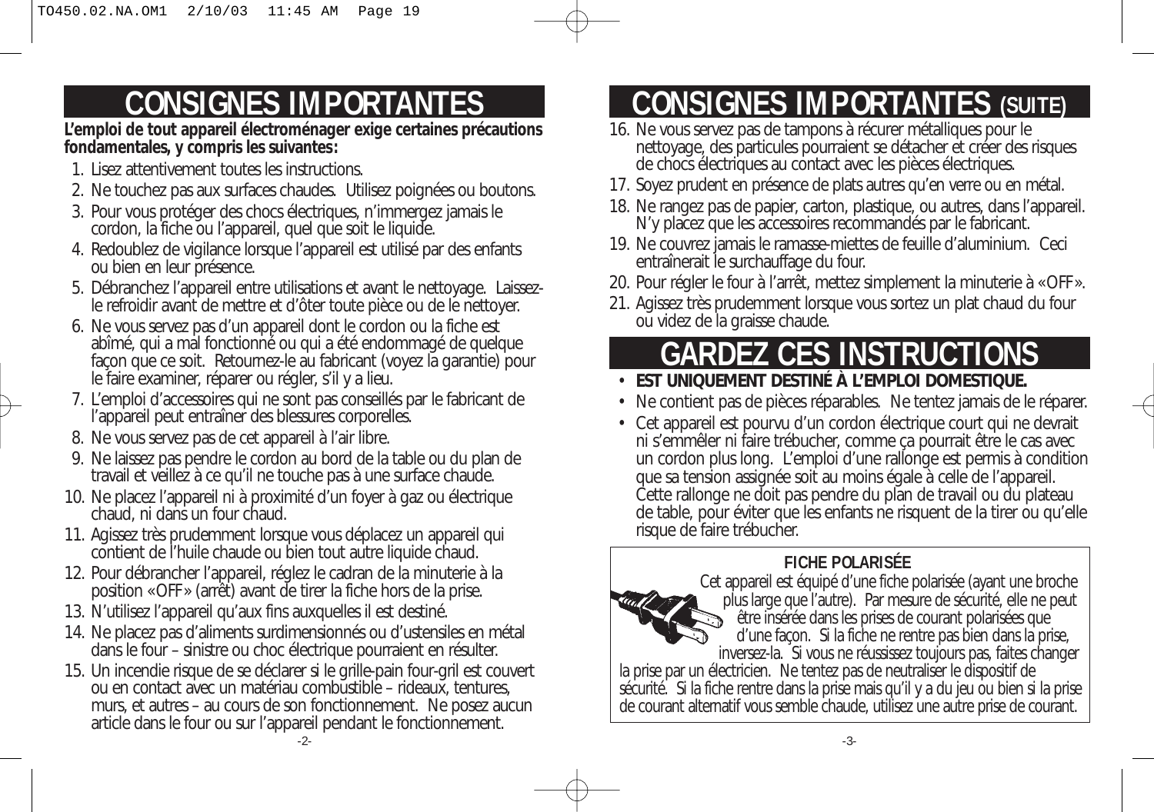## **CONSIGNES IMPORTANTES**

**L'emploi de tout appareil électroménager exige certaines précautions fondamentales, y compris les suivantes:**

- 1. Lisez attentivement toutes les instructions.
- 2. Ne touchez pas aux surfaces chaudes. Utilisez poignées ou boutons.
- 3. Pour vous protéger des chocs électriques, n'immergez jamais le cordon, la fiche ou l'appareil, quel que soit le liquide.
- 4. Redoublez de vigilance lorsque l'appareil est utilisé par des enfants ou bien en leur présence.
- 5. Débranchez l'appareil entre utilisations et avant le nettoyage. Laissezle refroidir avant de mettre et d'ôter toute pièce ou de le nettoyer.
- 6. Ne vous servez pas d'un appareil dont le cordon ou la fiche est abîmé, qui a mal fonctionné ou qui a été endommagé de quelque façon que ce soit. Retournez-le au fabricant (voyez la garantie) pour le faire examiner, réparer ou régler, s'il y a lieu.
- 7. L'emploi d'accessoires qui ne sont pas conseillés par le fabricant de l'appareil peut entraîner des blessures corporelles.
- 8. Ne vous servez pas de cet appareil à l'air libre.
- 9. Ne laissez pas pendre le cordon au bord de la table ou du plan de travail et veillez à ce qu'il ne touche pas à une surface chaude.
- 10. Ne placez l'appareil ni à proximité d'un foyer à gaz ou électrique chaud, ni dans un four chaud.
- 11. Agissez très prudemment lorsque vous déplacez un appareil qui contient de l'huile chaude ou bien tout autre liquide chaud.
- 12. Pour débrancher l'appareil, réglez le cadran de la minuterie à la position «OFF» (arrêt) avant de tirer la fiche hors de la prise.
- 13. N'utilisez l'appareil qu'aux fins auxquelles il est destiné.
- 14. Ne placez pas d'aliments surdimensionnés ou d'ustensiles en métal dans le four – sinistre ou choc électrique pourraient en résulter.
- 15. Un incendie risque de se déclarer si le grille-pain four-gril est couvert ou en contact avec un matériau combustible – rideaux, tentures, murs, et autres – au cours de son fonctionnement. Ne posez aucun article dans le four ou sur l'appareil pendant le fonctionnement.

## **CONSIGNES IMPORTANTES (SUITE)**

- 16. Ne vous servez pas de tampons à récurer métalliques pour le nettoyage, des particules pourraient se détacher et créer des risques de chocs électriques au contact avec les pièces électriques.
- 17. Soyez prudent en présence de plats autres qu'en verre ou en métal.
- 18. Ne rangez pas de papier, carton, plastique, ou autres, dans l'appareil. N'y placez que les accessoires recommandés par le fabricant.
- 19. Ne couvrez jamais le ramasse-miettes de feuille d'aluminium. Ceci entraînerait le surchauffage du four.
- 20. Pour régler le four à l'arrêt, mettez simplement la minuterie à «OFF».
- 21. Agissez très prudemment lorsque vous sortez un plat chaud du four ou videz de la graisse chaude.

## **GARDEZ CES INSTRUCTIONS**

## • **EST UNIQUEMENT DESTINÉ À L'EMPLOI DOMESTIQUE.**

- Ne contient pas de pièces réparables. Ne tentez jamais de le réparer.
- Cet appareil est pourvu d'un cordon électrique court qui ne devrait ni s'emmêler ni faire trébucher, comme ça pourrait être le cas avec un cordon plus long. L'emploi d'une rallonge est permis à condition que sa tension assignée soit au moins égale à celle de l'appareil. Cette rallonge ne doit pas pendre du plan de travail ou du plateau de table, pour éviter que les enfants ne risquent de la tirer ou qu'elle risque de faire trébucher.

## **FICHE POLARISÉE**



Cet appareil est équipé d'une fiche polarisée (ayant une broche plus large que l'autre). Par mesure de sécurité, elle ne peut être insérée dans les prises de courant polarisées que d'une façon. Si la fiche ne rentre pas bien dans la prise, inversez-la. Si vous ne réussissez toujours pas, faites changer

la prise par un électricien. Ne tentez pas de neutraliser le dispositif de sécurité. Si la fiche rentre dans la prise mais qu'il y a du jeu ou bien si la prise de courant alternatif vous semble chaude, utilisez une autre prise de courant.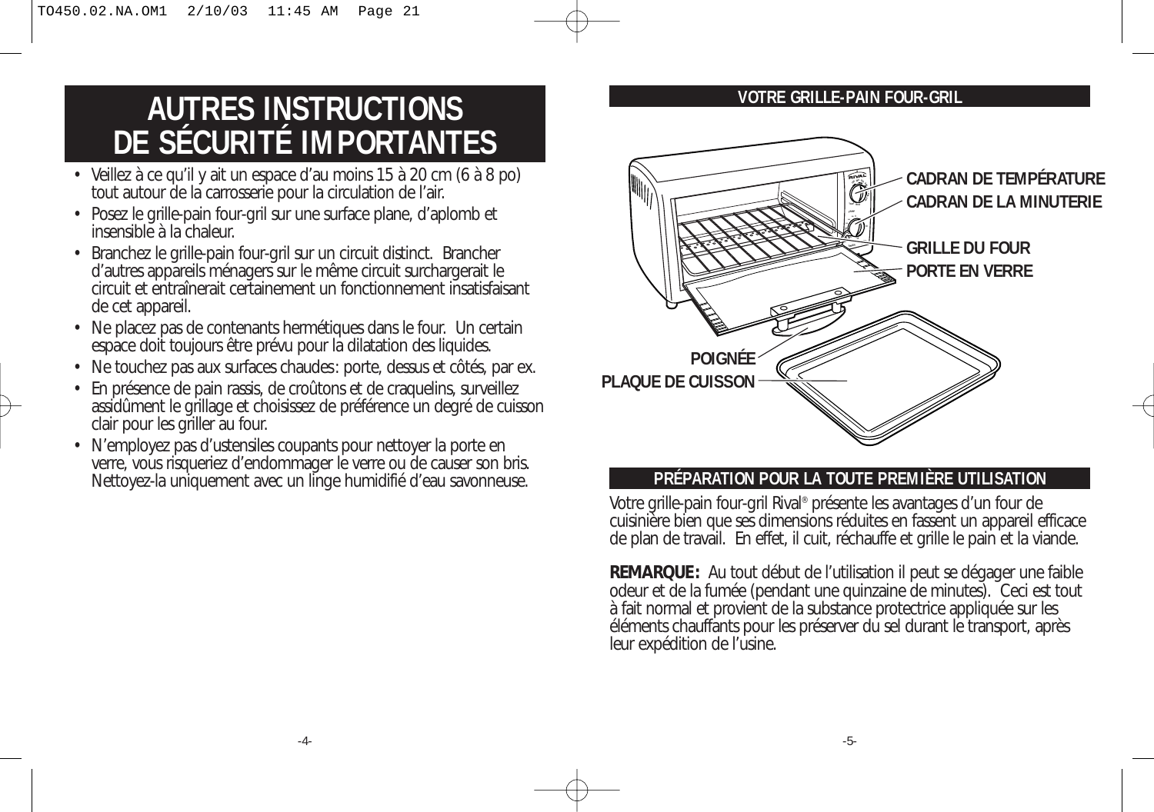## **AUTRES INSTRUCTIONS DE SÉCURITÉ IMPORTANTES**

- Veillez à ce qu'il y ait un espace d'au moins 15 à 20 cm (6 à 8 po) tout autour de la carrosserie pour la circulation de l'air.
- Posez le grille-pain four-gril sur une surface plane, d'aplomb et insensible à la chaleur.
- Branchez le grille-pain four-gril sur un circuit distinct. Brancher d'autres appareils ménagers sur le même circuit surchargerait le circuit et entraînerait certainement un fonctionnement insatisfaisant de cet appareil.
- Ne placez pas de contenants hermétiques dans le four. Un certain espace doit toujours être prévu pour la dilatation des liquides.
- Ne touchez pas aux surfaces chaudes: porte, dessus et côtés, par ex.
- En présence de pain rassis, de croûtons et de craquelins, surveillez assidûment le grillage et choisissez de préférence un degré de cuisson clair pour les griller au four.
- N'employez pas d'ustensiles coupants pour nettoyer la porte en verre, vous risqueriez d'endommager le verre ou de causer son bris. Nettoyez-la uniquement avec un linge humidifié d'eau savonneuse.





### **PRÉPARATION POUR LA TOUTE PREMIÈRE UTILISATION**

Votre grille-pain four-gril Rival® présente les avantages d'un four de cuisinière bien que ses dimensions réduites en fassent un appareil efficace de plan de travail. En effet, il cuit, réchauffe et grille le pain et la viande.

**REMARQUE:** Au tout début de l'utilisation il peut se dégager une faible odeur et de la fumée (pendant une quinzaine de minutes). Ceci est tout à fait normal et provient de la substance protectrice appliquée sur les éléments chauffants pour les préserver du sel durant le transport, après leur expédition de l'usine.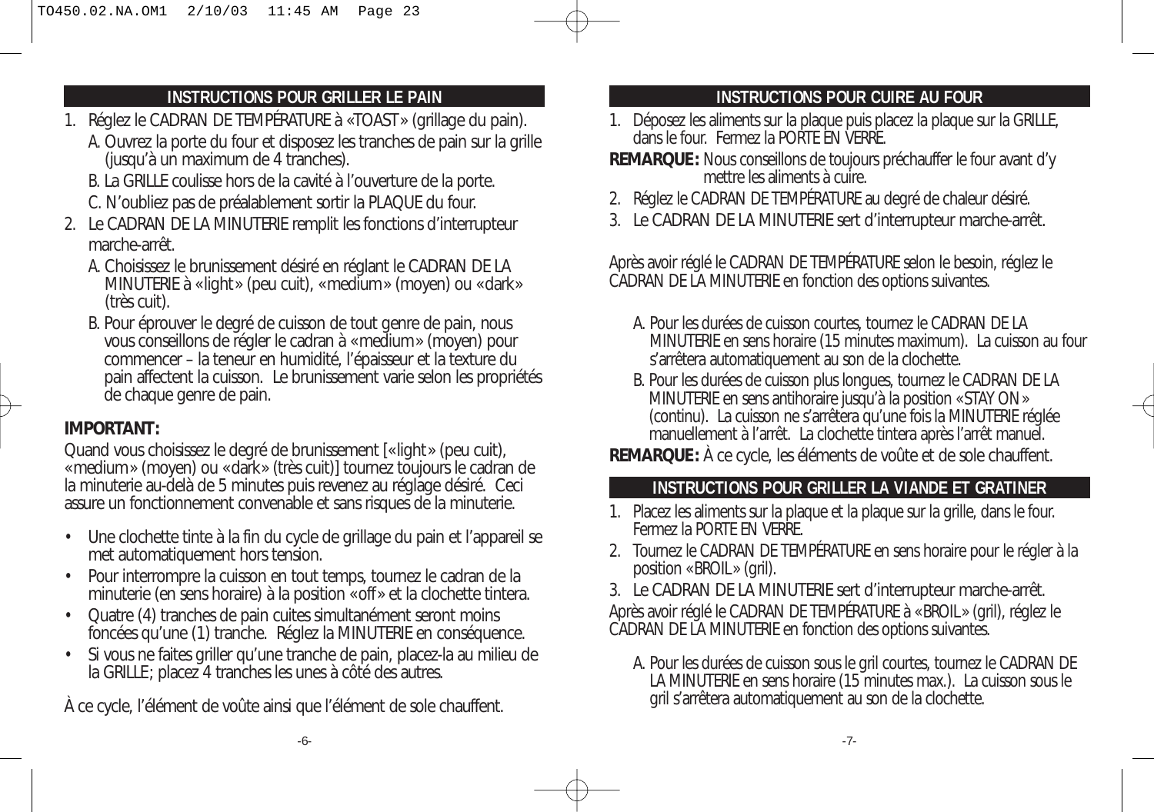## **INSTRUCTIONS POUR GRILLER LE PAIN**

- 1. Réglez le CADRAN DE TEMPÉRATURE à «TOAST» (grillage du pain).
	- A. Ouvrez la porte du four et disposez les tranches de pain sur la grille (jusqu'à un maximum de 4 tranches).
	- B. La GRILLE coulisse hors de la cavité à l'ouverture de la porte.
	- C. N'oubliez pas de préalablement sortir la PLAQUE du four.
- 2. Le CADRAN DE LA MINUTERIE remplit les fonctions d'interrupteur marche-arrêt.
	- A. Choisissez le brunissement désiré en réglant le CADRAN DE LA MINUTERIE à «light» (peu cuit), «medium» (moyen) ou «dark» (très cuit).
	- B. Pour éprouver le degré de cuisson de tout genre de pain, nous vous conseillons de régler le cadran à «medium» (moyen) pour commencer – la teneur en humidité, l'épaisseur et la texture du pain affectent la cuisson. Le brunissement varie selon les propriétés de chaque genre de pain.

## **IMPORTANT:**

Quand vous choisissez le degré de brunissement [«light» (peu cuit), «medium» (moyen) ou «dark» (très cuit)] tournez toujours le cadran de la minuterie au-delà de 5 minutes puis revenez au réglage désiré. Ceci assure un fonctionnement convenable et sans risques de la minuterie.

- Une clochette tinte à la fin du cycle de grillage du pain et l'appareil se met automatiquement hors tension.
- Pour interrompre la cuisson en tout temps, tournez le cadran de la minuterie (en sens horaire) à la position «off» et la clochette tintera.
- Quatre (4) tranches de pain cuites simultanément seront moins foncées qu'une (1) tranche. Réglez la MINUTERIE en conséquence.
- Si vous ne faites griller qu'une tranche de pain, placez-la au milieu de la GRILLE; placez 4 tranches les unes à côté des autres.

À ce cycle, l'élément de voûte ainsi que l'élément de sole chauffent.

## **INSTRUCTIONS POUR CUIRE AU FOUR**

- 1. Déposez les aliments sur la plaque puis placez la plaque sur la GRILLE, dans le four. Fermez la PORTE EN VERRE.
- **REMARQUE:** Nous conseillons de toujours préchauffer le four avant d'y mettre les aliments à cuire.
- 2. Réglez le CADRAN DE TEMPÉRATURE au degré de chaleur désiré.
- 3. Le CADRAN DE LA MINUTERIE sert d'interrupteur marche-arrêt.

Après avoir réglé le CADRAN DE TEMPÉRATURE selon le besoin, réglez le CADRAN DE LA MINUTERIE en fonction des options suivantes.

- A. Pour les durées de cuisson courtes, tournez le CADRAN DE LA MINUTERIE en sens horaire (15 minutes maximum). La cuisson au four s'arrêtera automatiquement au son de la clochette.
- B. Pour les durées de cuisson plus longues, tournez le CADRAN DE LA MINUTERIE en sens antihoraire jusqu'à la position «STAY ON» (continu). La cuisson ne s'arrêtera qu'une fois la MINUTERIE réglée manuellement à l'arrêt. La clochette tintera après l'arrêt manuel.

**REMARQUE:** À ce cycle, les éléments de voûte et de sole chauffent.

## **INSTRUCTIONS POUR GRILLER LA VIANDE ET GRATINER**

- 1. Placez les aliments sur la plaque et la plaque sur la grille, dans le four. Fermez la PORTE EN VERRE.
- 2. Tournez le CADRAN DE TEMPÉRATURE en sens horaire pour le régler à la position «BROIL» (gril).
- 3. Le CADRAN DE LA MINUTERIE sert d'interrupteur marche-arrêt. Après avoir réglé le CADRAN DE TEMPÉRATURE à «BROIL» (gril), réglez le CADRAN DE LA MINUTERIE en fonction des options suivantes.
	- A. Pour les durées de cuisson sous le gril courtes, tournez le CADRAN DE LA MINUTERIE en sens horaire (15 minutes max.). La cuisson sous le gril s'arrêtera automatiquement au son de la clochette.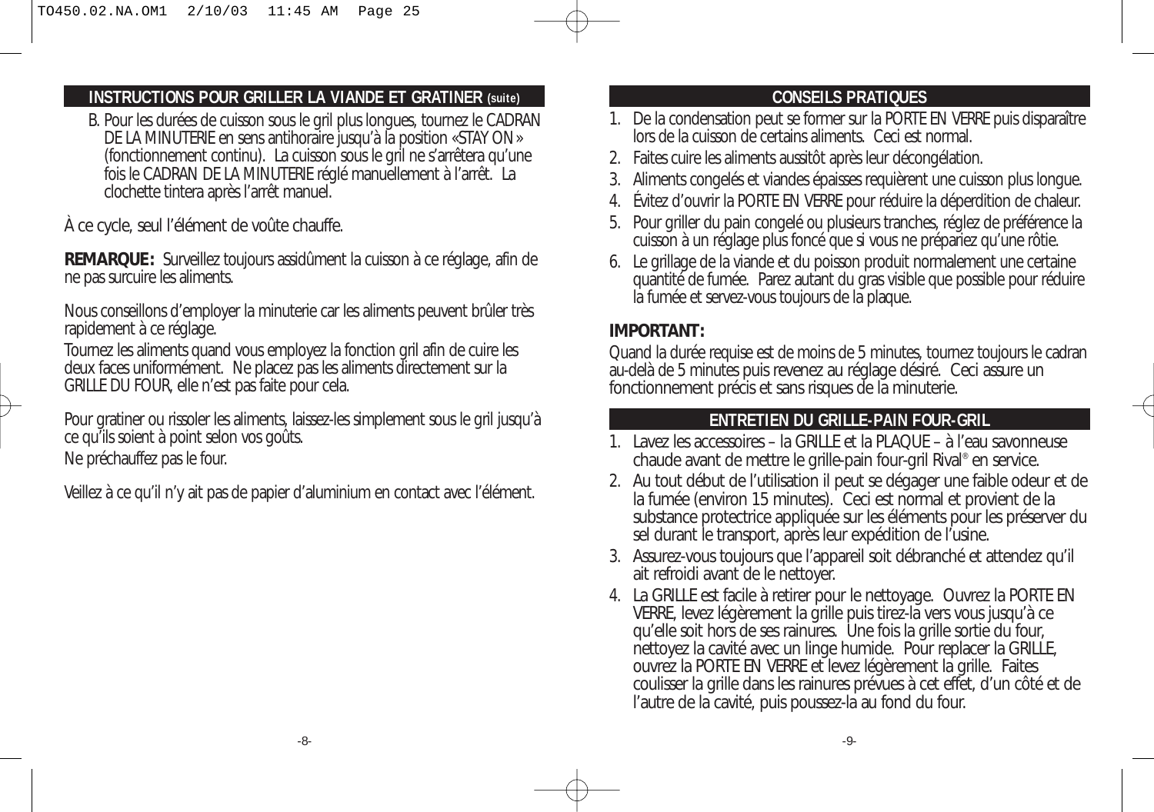## **INSTRUCTIONS POUR GRILLER LA VIANDE ET GRATINER (suite)**

B. Pour les durées de cuisson sous le gril plus longues, tournez le CADRAN DE LA MINUTERIE en sens antihoraire jusqu'à la position «STAY ON» (fonctionnement continu). La cuisson sous le gril ne s'arrêtera qu'une fois le CADRAN DE LA MINUTERIE réglé manuellement à l'arrêt. La clochette tintera après l'arrêt manuel.

À ce cycle, seul l'élément de voûte chauffe.

**REMARQUE:** Surveillez toujours assidûment la cuisson à ce réglage, afin de ne pas surcuire les aliments.

Nous conseillons d'employer la minuterie car les aliments peuvent brûler très rapidement à ce réglage.

Tournez les aliments quand vous employez la fonction gril afin de cuire les deux faces uniformément. Ne placez pas les aliments directement sur la GRILLE DU FOUR, elle n'est pas faite pour cela.

Pour gratiner ou rissoler les aliments, laissez-les simplement sous le gril jusqu'à ce qu'ils soient à point selon vos goûts.

Ne préchauffez pas le four.

Veillez à ce qu'il n'y ait pas de papier d'aluminium en contact avec l'élément.

## **CONSEILS PRATIQUES**

- 1. De la condensation peut se former sur la PORTE EN VERRE puis disparaître lors de la cuisson de certains aliments. Ceci est normal.
- 2. Faites cuire les aliments aussitôt après leur décongélation.
- 3. Aliments congelés et viandes épaisses requièrent une cuisson plus longue.
- 4. Évitez d'ouvrir la PORTE EN VERRE pour réduire la déperdition de chaleur.
- 5. Pour griller du pain congelé ou plusieurs tranches, réglez de préférence la cuisson à un réglage plus foncé que si vous ne prépariez qu'une rôtie.
- 6. Le grillage de la viande et du poisson produit normalement une certaine quantité de fumée. Parez autant du gras visible que possible pour réduire la fumée et servez-vous toujours de la plaque.

## **IMPORTANT:**

Quand la durée requise est de moins de 5 minutes, tournez toujours le cadran au-delà de 5 minutes puis revenez au réglage désiré. Ceci assure un fonctionnement précis et sans risques de la minuterie.

### **ENTRETIEN DU GRILLE-PAIN FOUR-GRIL**

- 1. Lavez les accessoires la GRILLE et la PLAQUE à l'eau savonneuse chaude avant de mettre le grille-pain four-gril Rival® en service.
- 2. Au tout début de l'utilisation il peut se dégager une faible odeur et de la fumée (environ 15 minutes). Ceci est normal et provient de la substance protectrice appliquée sur les éléments pour les préserver du sel durant le transport, après leur expédition de l'usine.
- 3. Assurez-vous toujours que l'appareil soit débranché et attendez qu'il ait refroidi avant de le nettoyer.
- 4. La GRILLE est facile à retirer pour le nettoyage. Ouvrez la PORTE EN VERRE, levez légèrement la grille puis tirez-la vers vous jusqu'à ce qu'elle soit hors de ses rainures. Une fois la grille sortie du four, nettoyez la cavité avec un linge humide. Pour replacer la GRILLE, ouvrez la PORTE EN VERRE et levez légèrement la grille. Faites coulisser la grille dans les rainures prévues à cet effet, d'un côté et de l'autre de la cavité, puis poussez-la au fond du four.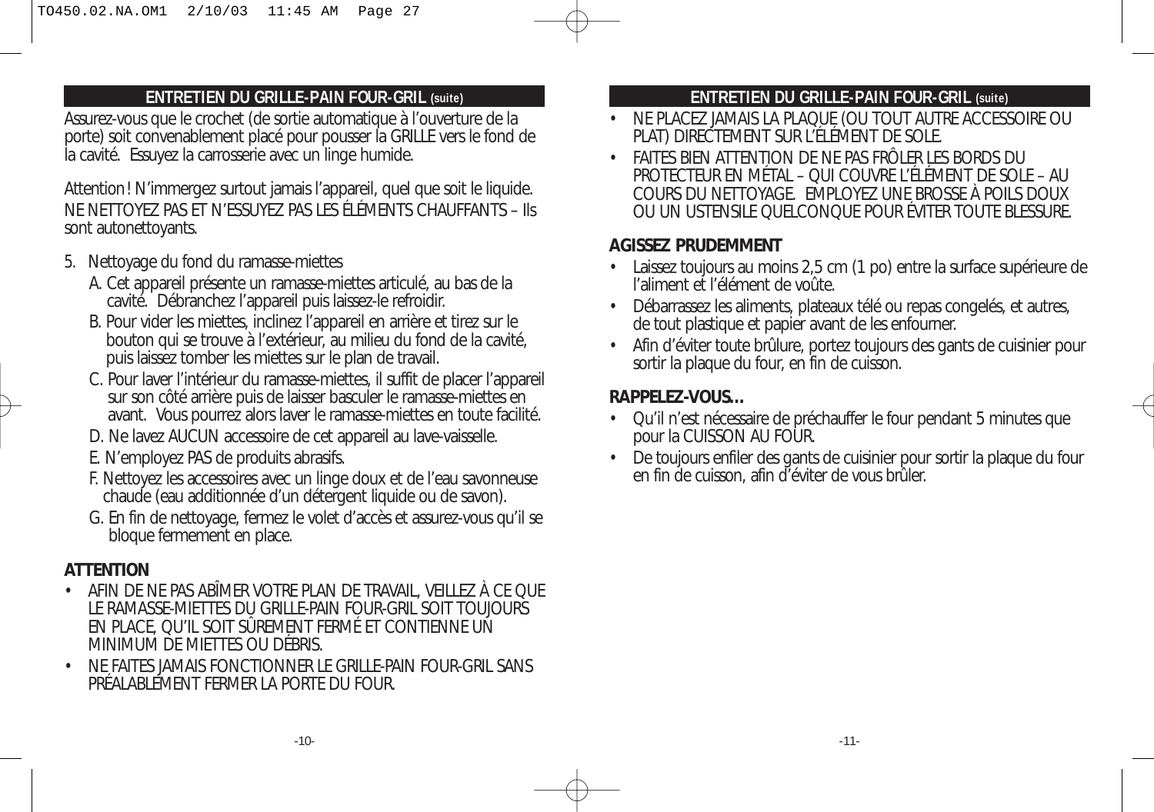### **ENTRETIEN DU GRILLE-PAIN FOUR-GRIL (suite)**

Assurez-vous que le crochet (de sortie automatique à l'ouverture de la porte) soit convenablement placé pour pousser la GRILLE vers le fond de la cavité. Essuyez la carrosserie avec un linge humide.

Attention! N'immergez surtout jamais l'appareil, quel que soit le liquide. NE NETTOYEZ PAS ET N'ESSUYEZ PAS LES ÉLÉMENTS CHAUFFANTS – Ils sont autonettoyants.

- 5. Nettoyage du fond du ramasse-miettes
	- A. Cet appareil présente un ramasse-miettes articulé, au bas de la cavité. Débranchez l'appareil puis laissez-le refroidir.
	- B. Pour vider les miettes, inclinez l'appareil en arrière et tirez sur le bouton qui se trouve à l'extérieur, au milieu du fond de la cavité, puis laissez tomber les miettes sur le plan de travail.
	- C. Pour laver l'intérieur du ramasse-miettes, il suffit de placer l'appareil sur son côté arrière puis de laisser basculer le ramasse-miettes en avant. Vous pourrez alors laver le ramasse-miettes en toute facilité.
	- D. Ne lavez AUCUN accessoire de cet appareil au lave-vaisselle.
	- E. N'employez PAS de produits abrasifs.
	- F. Nettoyez les accessoires avec un linge doux et de l'eau savonneuse chaude (eau additionnée d'un détergent liquide ou de savon).
	- G. En fin de nettoyage, fermez le volet d'accès et assurez-vous qu'il se bloque fermement en place.

### **ATTENTION**

- AFIN DE NE PAS ABÎMER VOTRE PLAN DE TRAVAIL, VEILLEZ À CE QUE LE RAMASSE-MIETTES DU GRILLE-PAIN FOUR-GRIL SOIT TOUJOURS EN PLACE, QU'IL SOIT SÛREMENT FERMÉ ET CONTIENNE UN MINIMUM DE MIETTES OU DÉBRIS.
- NE FAITES JAMAIS FONCTIONNER LE GRILLE-PAIN FOUR-GRIL SANS PRÉALABLEMENT FERMER LA PORTE DU FOUR.

### **ENTRETIEN DU GRILLE-PAIN FOUR-GRIL (suite)**

- NE PLACEZ JAMAIS LA PLAQUE (OU TOUT AUTRE ACCESSOIRE OU PLAT) DIRECTEMENT SUR L'ÉLÉMENT DE SOLE.
- FAITES BIEN ATTENTION DE NE PAS FRÔLER LES BORDS DU PROTECTEUR EN MÉTAL – QUI COUVRE L'ÉLÉMENT DE SOLE – AU COURS DU NETTOYAGE. EMPLOYEZ UNE BROSSE À POILS DOUX OU UN USTENSILE QUELCONQUE POUR ÉVITER TOUTE BLESSURE.

#### **AGISSEZ PRUDEMMENT**

- Laissez toujours au moins 2,5 cm (1 po) entre la surface supérieure de l'aliment et l'élément de voûte.
- Débarrassez les aliments, plateaux télé ou repas congelés, et autres, de tout plastique et papier avant de les enfourner.
- Afin d'éviter toute brûlure, portez toujours des gants de cuisinier pour sortir la plaque du four, en fin de cuisson.

### **RAPPELEZ-VOUS…**

- Qu'il n'est nécessaire de préchauffer le four pendant 5 minutes que pour la CUISSON AU FOUR.
- De toujours enfiler des gants de cuisinier pour sortir la plaque du four en fin de cuisson, afin d'éviter de vous brûler.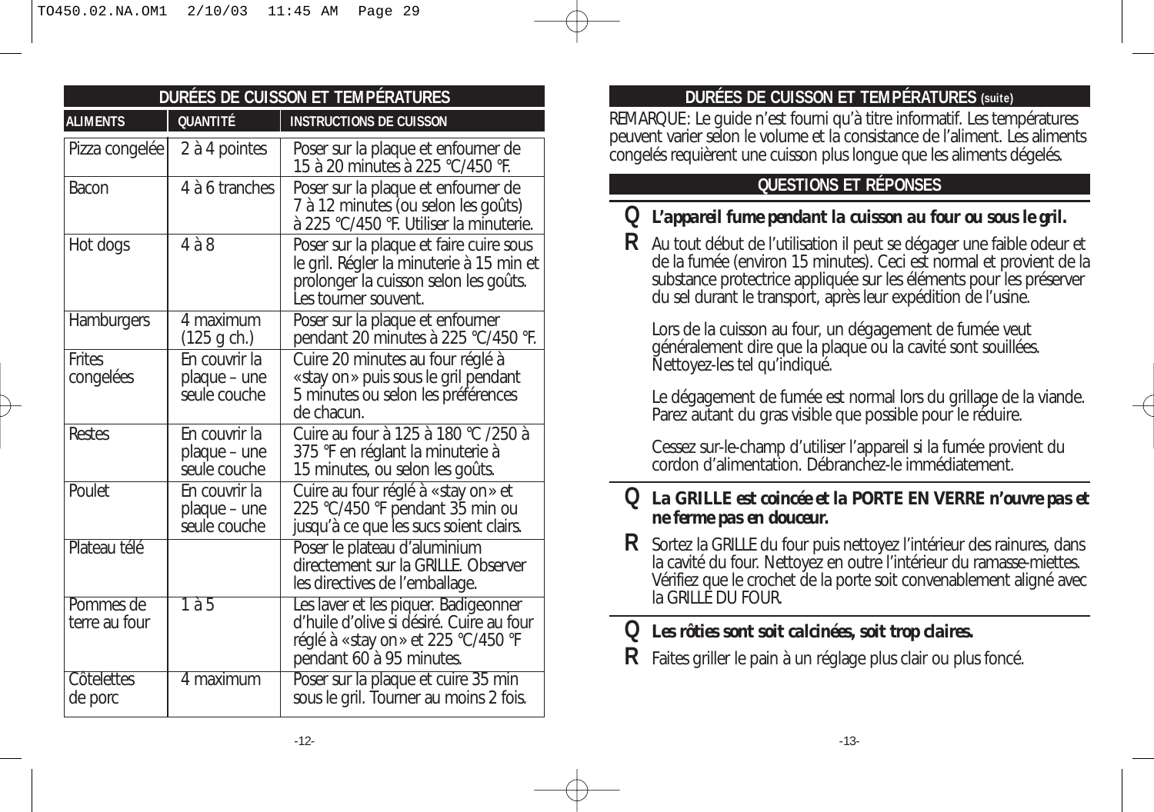| DURÉES DE CUISSON ET TEMPÉRATURES |                                               |                                                                                                                                                      |
|-----------------------------------|-----------------------------------------------|------------------------------------------------------------------------------------------------------------------------------------------------------|
| <b>ALIMENTS</b>                   | <b>QUANTITÉ</b>                               | <b>INSTRUCTIONS DE CUISSON</b>                                                                                                                       |
| Pizza congelée                    | 2 à 4 pointes                                 | Poser sur la plaque et enfourner de<br>15 à 20 minutes à 225 °C/450 °F.                                                                              |
| Bacon                             | 4 à 6 tranches                                | Poser sur la plaque et enfourner de<br>7 à 12 minutes (ou selon les goûts)<br>à 225 °C/450 °F. Utiliser la minuterie.                                |
| Hot dogs                          | $4\land 8$                                    | Poser sur la plaque et faire cuire sous<br>le gril. Régler la minuterie à 15 min et<br>prolonger la cuisson selon les goûts.<br>Les tourner souvent. |
| Hamburgers                        | 4 maximum<br>(125 g ch.)                      | Poser sur la plaque et enfourner<br>pendant 20 minutes à 225 °C/450 °F.                                                                              |
| <b>Frites</b><br>congelées        | En couvrir la<br>plaque – une<br>seule couche | Cuire 20 minutes au four réglé à<br>«stay on» puis sous le gril pendant<br>5 minutes ou selon les préférences<br>de chacun.                          |
| Restes                            | En couvrir la<br>plaque - une<br>seule couche | Cuire au four à 125 à 180 °C /250 à<br>375 °F en réglant la minuterie à<br>15 minutes, ou selon les goûts.                                           |
| Poulet                            | En couvrir la<br>plaque - une<br>seule couche | Cuire au four réglé à « stay on » et<br>225 °C/450 °F pendant 35 min ou<br>jusqu'à ce que les sucs soient clairs.                                    |
| Plateau télé                      |                                               | Poser le plateau d'aluminium<br>directement sur la GRILLE. Observer<br>les directives de l'emballage.                                                |
| Pommes de<br>terre au four        | 1a5                                           | Les laver et les piquer. Badigeonner<br>d'huile d'olive si désiré. Cuire au four<br>réglé à «stay on » et 225 °C/450 °F<br>pendant 60 à 95 minutes.  |
| Côtelettes<br>de porc             | 4 maximum                                     | Poser sur la plaque et cuire 35 min<br>sous le gril. Tourner au moins 2 fois.                                                                        |

## **DURÉES DE CUISSON ET TEMPÉRATURES (suite)**

REMARQUE: Le guide n'est fourni qu'à titre informatif. Les températures peuvent varier selon le volume et la consistance de l'aliment. Les aliments congelés requièrent une cuisson plus longue que les aliments dégelés.

## **QUESTIONS ET RÉPONSES**

## **Q** *L'appareil fume pendant la cuisson au four ou sous le gril.*

**R** Au tout début de l'utilisation il peut se dégager une faible odeur et de la fumée (environ 15 minutes). Ceci est normal et provient de la substance protectrice appliquée sur les éléments pour les préserver du sel durant le transport, après leur expédition de l'usine.

Lors de la cuisson au four, un dégagement de fumée veut généralement dire que la plaque ou la cavité sont souillées. Nettoyez-les tel qu'indiqué.

Le dégagement de fumée est normal lors du grillage de la viande. Parez autant du gras visible que possible pour le réduire.

Cessez sur-le-champ d'utiliser l'appareil si la fumée provient du cordon d'alimentation. Débranchez-le immédiatement.

## **Q** *La GRILLE est coincée et la PORTE EN VERRE n'ouvre pas et ne ferme pas en douceur.*

**R** Sortez la GRILLE du four puis nettoyez l'intérieur des rainures, dans la cavité du four. Nettoyez en outre l'intérieur du ramasse-miettes. Vérifiez que le crochet de la porte soit convenablement aligné avec la GRILLE DU FOUR.

## **Q** *Les rôties sont soit calcinées, soit trop claires.*

**R** Faites griller le pain à un réglage plus clair ou plus foncé.